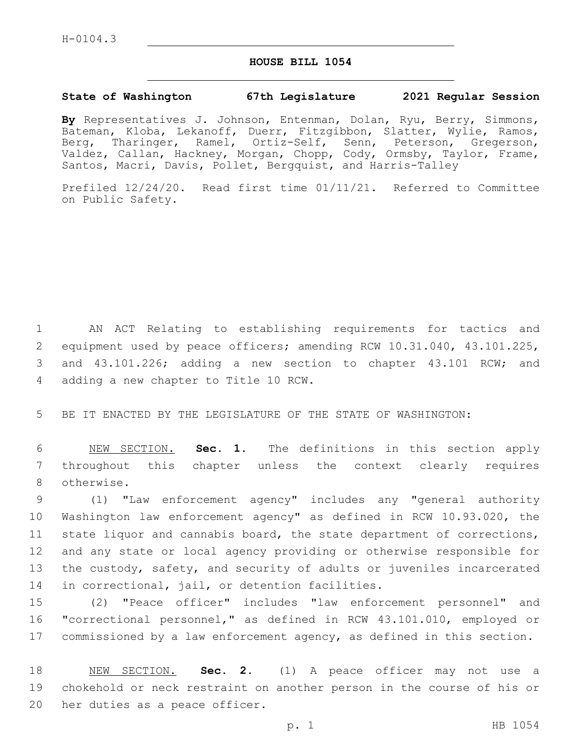## **HOUSE BILL 1054**

## **State of Washington 67th Legislature 2021 Regular Session**

**By** Representatives J. Johnson, Entenman, Dolan, Ryu, Berry, Simmons, Bateman, Kloba, Lekanoff, Duerr, Fitzgibbon, Slatter, Wylie, Ramos, Berg, Tharinger, Ramel, Ortiz-Self, Senn, Peterson, Gregerson, Valdez, Callan, Hackney, Morgan, Chopp, Cody, Ormsby, Taylor, Frame, Santos, Macri, Davis, Pollet, Bergquist, and Harris-Talley

Prefiled 12/24/20. Read first time 01/11/21. Referred to Committee on Public Safety.

1 AN ACT Relating to establishing requirements for tactics and 2 equipment used by peace officers; amending RCW 10.31.040, 43.101.225, 3 and 43.101.226; adding a new section to chapter 43.101 RCW; and 4 adding a new chapter to Title 10 RCW.

5 BE IT ENACTED BY THE LEGISLATURE OF THE STATE OF WASHINGTON:

6 NEW SECTION. **Sec. 1.** The definitions in this section apply 7 throughout this chapter unless the context clearly requires 8 otherwise.

 (1) "Law enforcement agency" includes any "general authority Washington law enforcement agency" as defined in RCW 10.93.020, the state liquor and cannabis board, the state department of corrections, and any state or local agency providing or otherwise responsible for the custody, safety, and security of adults or juveniles incarcerated 14 in correctional, jail, or detention facilities.

15 (2) "Peace officer" includes "law enforcement personnel" and 16 "correctional personnel," as defined in RCW 43.101.010, employed or 17 commissioned by a law enforcement agency, as defined in this section.

18 NEW SECTION. **Sec. 2.** (1) A peace officer may not use a 19 chokehold or neck restraint on another person in the course of his or 20 her duties as a peace officer.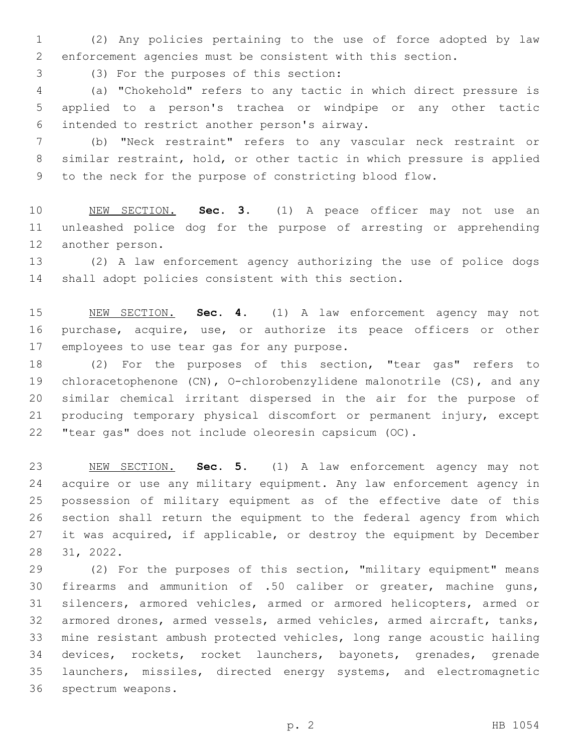(2) Any policies pertaining to the use of force adopted by law enforcement agencies must be consistent with this section.

(3) For the purposes of this section:3

 (a) "Chokehold" refers to any tactic in which direct pressure is applied to a person's trachea or windpipe or any other tactic intended to restrict another person's airway.6

 (b) "Neck restraint" refers to any vascular neck restraint or similar restraint, hold, or other tactic in which pressure is applied to the neck for the purpose of constricting blood flow.

 NEW SECTION. **Sec. 3.** (1) A peace officer may not use an unleashed police dog for the purpose of arresting or apprehending another person.

 (2) A law enforcement agency authorizing the use of police dogs shall adopt policies consistent with this section.

 NEW SECTION. **Sec. 4.** (1) A law enforcement agency may not purchase, acquire, use, or authorize its peace officers or other employees to use tear gas for any purpose.

 (2) For the purposes of this section, "tear gas" refers to chloracetophenone (CN), O-chlorobenzylidene malonotrile (CS), and any similar chemical irritant dispersed in the air for the purpose of producing temporary physical discomfort or permanent injury, except "tear gas" does not include oleoresin capsicum (OC).

 NEW SECTION. **Sec. 5.** (1) A law enforcement agency may not acquire or use any military equipment. Any law enforcement agency in possession of military equipment as of the effective date of this section shall return the equipment to the federal agency from which 27 it was acquired, if applicable, or destroy the equipment by December 31, 2022.

 (2) For the purposes of this section, "military equipment" means firearms and ammunition of .50 caliber or greater, machine guns, silencers, armored vehicles, armed or armored helicopters, armed or armored drones, armed vessels, armed vehicles, armed aircraft, tanks, mine resistant ambush protected vehicles, long range acoustic hailing devices, rockets, rocket launchers, bayonets, grenades, grenade launchers, missiles, directed energy systems, and electromagnetic 36 spectrum weapons.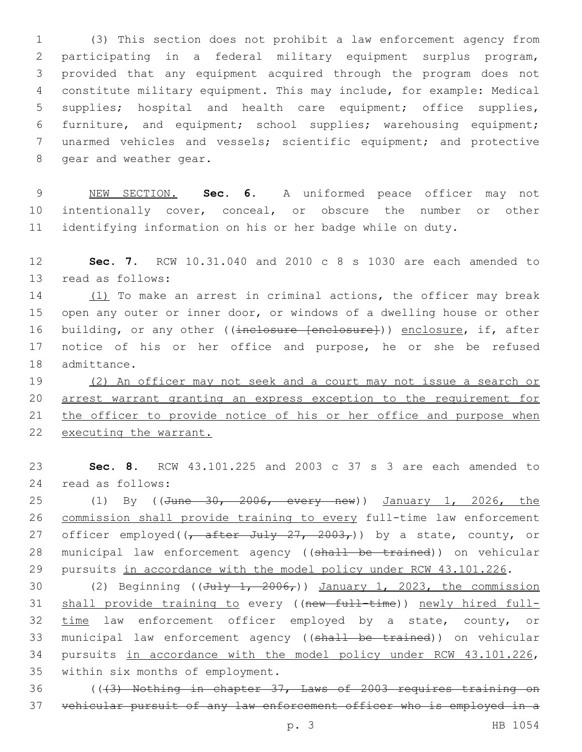(3) This section does not prohibit a law enforcement agency from participating in a federal military equipment surplus program, provided that any equipment acquired through the program does not constitute military equipment. This may include, for example: Medical supplies; hospital and health care equipment; office supplies, furniture, and equipment; school supplies; warehousing equipment; unarmed vehicles and vessels; scientific equipment; and protective 8 gear and weather gear.

 NEW SECTION. **Sec. 6.** A uniformed peace officer may not intentionally cover, conceal, or obscure the number or other identifying information on his or her badge while on duty.

 **Sec. 7.** RCW 10.31.040 and 2010 c 8 s 1030 are each amended to 13 read as follows:

 (1) To make an arrest in criminal actions, the officer may break open any outer or inner door, or windows of a dwelling house or other 16 building, or any other ((inclosure [enclosure])) enclosure, if, after notice of his or her office and purpose, he or she be refused 18 admittance.

19 (2) An officer may not seek and a court may not issue a search or arrest warrant granting an express exception to the requirement for 21 the officer to provide notice of his or her office and purpose when executing the warrant.

 **Sec. 8.** RCW 43.101.225 and 2003 c 37 s 3 are each amended to read as follows:24

25 (1) By ((<del>June 30, 2006, every new</del>)) January 1, 2026, the commission shall provide training to every full-time law enforcement 27 officer employed( $\frac{7}{7}$  after July 27, 2003,)) by a state, county, or 28 municipal law enforcement agency ((shall be trained)) on vehicular pursuits in accordance with the model policy under RCW 43.101.226.

30 (2) Beginning ( $(\overline{Ju} + \frac{1}{2006})$ ) January 1, 2023, the commission 31 shall provide training to every ((new full-time)) newly hired full- time law enforcement officer employed by a state, county, or 33 municipal law enforcement agency ((shall be trained)) on vehicular pursuits in accordance with the model policy under RCW 43.101.226, 35 within six months of employment.

 (((3) Nothing in chapter 37, Laws of 2003 requires training on vehicular pursuit of any law enforcement officer who is employed in a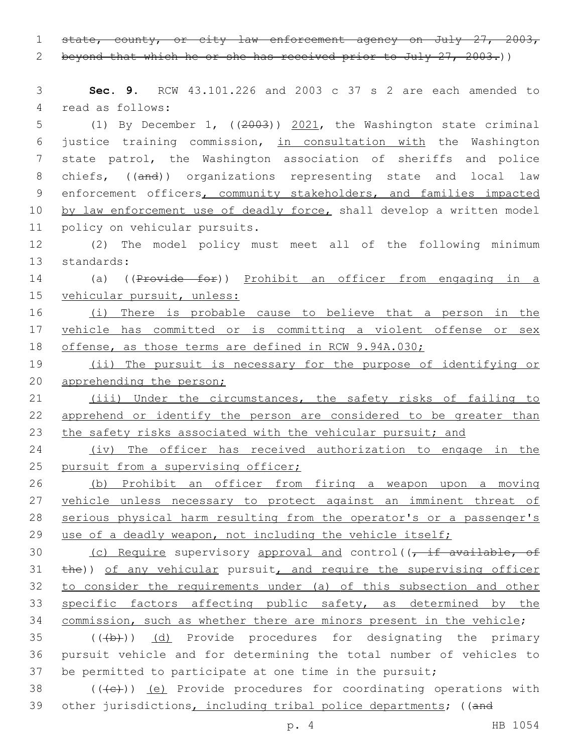1 state, county, or city law enforcement agency on July 27, 2003,

2 beyond that which he or she has received prior to July 27, 2003.)

 **Sec. 9.** RCW 43.101.226 and 2003 c 37 s 2 are each amended to 4 read as follows: (1) By December 1, ((2003)) 2021, the Washington state criminal justice training commission, in consultation with the Washington state patrol, the Washington association of sheriffs and police

8 chiefs, ((and)) organizations representing state and local law 9 enforcement officers, community stakeholders, and families impacted 10 by law enforcement use of deadly force, shall develop a written model 11 policy on vehicular pursuits.

12 (2) The model policy must meet all of the following minimum 13 standards:

14 (a) ((Provide for)) Prohibit an officer from engaging in a 15 vehicular pursuit, unless:

16 (i) There is probable cause to believe that a person in the 17 vehicle has committed or is committing a violent offense or sex 18 offense, as those terms are defined in RCW 9.94A.030;

19 (ii) The pursuit is necessary for the purpose of identifying or 20 apprehending the person;

21 (iii) Under the circumstances, the safety risks of failing to 22 apprehend or identify the person are considered to be greater than 23 the safety risks associated with the vehicular pursuit; and

24 (iv) The officer has received authorization to engage in the 25 pursuit from a supervising officer;

26 (b) Prohibit an officer from firing a weapon upon a moving 27 vehicle unless necessary to protect against an imminent threat of 28 serious physical harm resulting from the operator's or a passenger's 29 use of a deadly weapon, not including the vehicle itself;

30 (c) Require supervisory approval and control( $\overline{t}$  if available, of 31 the)) of any vehicular pursuit, and require the supervising officer 32 to consider the requirements under (a) of this subsection and other 33 specific factors affecting public safety, as determined by the 34 commission, such as whether there are minors present in the vehicle;

 $35$  (( $\left(\frac{1}{2}+\right)$ ) (d) Provide procedures for designating the primary 36 pursuit vehicle and for determining the total number of vehicles to 37 be permitted to participate at one time in the pursuit;

 $38$  (( $\left(\frac{1}{10}\right)$ ) (e) Provide procedures for coordinating operations with 39 other jurisdictions, including tribal police departments; ((and